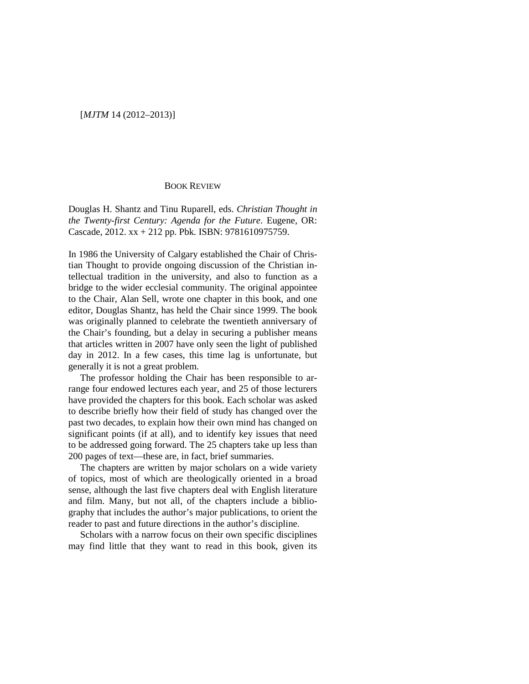## [*MJTM* 14 (2012–2013)]

## BOOK REVIEW

Douglas H. Shantz and Tinu Ruparell, eds. *Christian Thought in the Twenty-first Century: Agenda for the Future*. Eugene, OR: Cascade, 2012. xx + 212 pp. Pbk. ISBN: 9781610975759.

In 1986 the University of Calgary established the Chair of Christian Thought to provide ongoing discussion of the Christian intellectual tradition in the university, and also to function as a bridge to the wider ecclesial community. The original appointee to the Chair, Alan Sell, wrote one chapter in this book, and one editor, Douglas Shantz, has held the Chair since 1999. The book was originally planned to celebrate the twentieth anniversary of the Chair's founding, but a delay in securing a publisher means that articles written in 2007 have only seen the light of published day in 2012. In a few cases, this time lag is unfortunate, but generally it is not a great problem.

The professor holding the Chair has been responsible to arrange four endowed lectures each year, and 25 of those lecturers have provided the chapters for this book. Each scholar was asked to describe briefly how their field of study has changed over the past two decades, to explain how their own mind has changed on significant points (if at all), and to identify key issues that need to be addressed going forward. The 25 chapters take up less than 200 pages of text—these are, in fact, brief summaries.

The chapters are written by major scholars on a wide variety of topics, most of which are theologically oriented in a broad sense, although the last five chapters deal with English literature and film. Many, but not all, of the chapters include a bibliography that includes the author's major publications, to orient the reader to past and future directions in the author's discipline.

Scholars with a narrow focus on their own specific disciplines may find little that they want to read in this book, given its